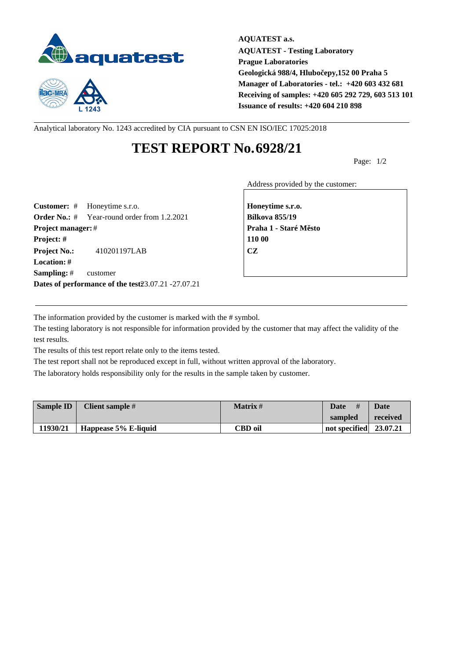



**AQUATEST a.s. AQUATEST - Testing Laboratory Prague Laboratories Geologická 988/4, Hlubočepy,152 00 Praha 5 Manager of Laboratories - tel.: +420 603 432 681 Receiving of samples: +420 605 292 729, 603 513 101 Issuance of results: +420 604 210 898**

Analytical laboratory No. 1243 accredited by CIA pursuant to CSN EN ISO/IEC 17025:2018

## **TEST REPORT No.6928/21**

Page: 1/2

Address provided by the customer:

**Customer:** # Honeytime s.r.o. **Honeytime s.r.o. Order No.:** # Year-round order from 1.2.2021 **Bílkova 855/19 Project manager:** # **Project manager:** # **Praha 1 - Staré M** sto **Project: # 110 00 Project No.:** 410201197LAB **CZ Location: # Sampling:** # customer **Dates of performance of the test23.07.21 -27.07.21** 

The information provided by the customer is marked with the # symbol.

The testing laboratory is not responsible for information provided by the customer that may affect the validity of the test results.

The results of this test report relate only to the items tested.

The test report shall not be reproduced except in full, without written approval of the laboratory.

The laboratory holds responsibility only for the results in the sample taken by customer.

| <b>Sample ID</b> | Client sample #      | <b>Matrix</b> # | Date<br>#                | Date     |
|------------------|----------------------|-----------------|--------------------------|----------|
|                  |                      |                 | sampled                  | received |
| 11930/21         | Happease 5% E-liquid | CBD oil         | not specified $23.07.21$ |          |